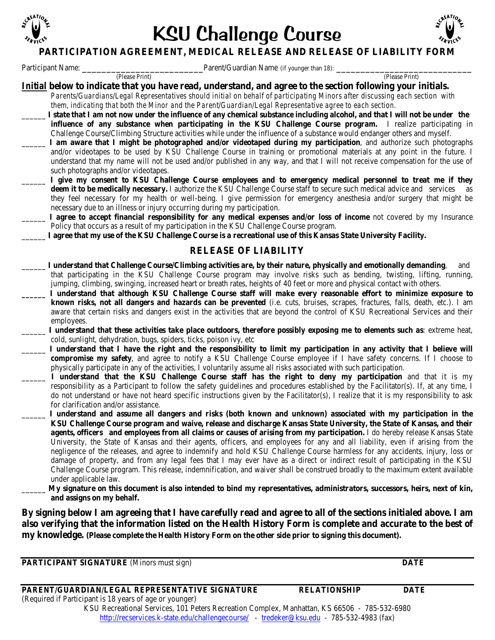

# KSU Challenge Course



## **PARTICIPATION AGREEMENT, MEDICAL RELEASE AND RELEASE OF LIABILITY FORM**

Participant Name: \_\_\_\_\_\_\_\_\_\_\_\_\_\_\_\_\_\_\_\_\_\_\_\_\_Parent/Guardian Name (if younger than 18): \_\_\_\_\_\_\_\_\_\_\_\_\_\_\_\_\_\_\_\_\_\_\_\_\_\_\_\_ (Please Print) (Please Print)

*Initial* **below to indicate that you have read, understand, and agree to the section following your initials.**

- *Parents/Guardians/Legal Representatives should initial on behalf of participating Minors after discussing each section with them, indicating that both the Minor and the Parent/Guardian/Legal Representative agree to each section.*
	- \_\_\_\_\_\_ **I state that I am not now under the influence of any chemical substance including alcohol, and that I will not be under the influence of any substance when participating in the KSU Challenge Course program.** I realize participating in Challenge Course/Climbing Structure activities while under the influence of a substance would endanger others and myself.
- \_\_\_\_\_\_ **I am aware that I might be photographed and/or videotaped during my participation**, and authorize such photographs and/or videotapes to be used by KSU Challenge Course in training or promotional materials at any point in the future. I understand that my name will not be used and/or published in any way, and that I will not receive compensation for the use of such photographs and/or videotapes.
- \_\_\_\_\_\_ **I give my consent to KSU Challenge Course employees and to emergency medical personnel to treat me if they deem it to be medically necessary.** I authorize the KSU Challenge Course staff to secure such medical advice and services as they feel necessary for my health or well-being. I give permission for emergency anesthesia and/or surgery that might be necessary due to an illness or injury occurring during my participation.
- \_\_\_\_\_\_ **I agree to accept financial responsibility for any medical expenses and/or loss of income** not covered by my Insurance Policy that occurs as a result of my participation in the KSU Challenge Course program.
- \_\_\_\_\_\_ **I agree that my use of the KSU Challenge Course is a recreational use of this Kansas State University Facility.**

## **RELEASE OF LIABILITY**

- \_\_\_\_\_\_ **I understand that Challenge Course/Climbing activities are, by their nature, physically and emotionally demanding**, and that participating in the KSU Challenge Course program may involve risks such as bending, twisting, lifting, running, jumping, climbing, swinging, increased heart or breath rates, heights of 40 feet or more and physical contact with others.
- **\_\_\_\_\_\_ I understand that although KSU Challenge Course staff will make every reasonable effort to minimize exposure to known risks, not all dangers and hazards can be prevented** (i.e. cuts, bruises, scrapes, fractures, falls, death, etc.). I am aware that certain risks and dangers exist in the activities that are beyond the control of KSU Recreational Services and their employees.
- \_\_\_\_\_\_ **I understand that these activities take place outdoors, therefore possibly exposing me to elements such as**: extreme heat, cold, sunlight, dehydration, bugs, spiders, ticks, poison ivy, etc
- I understand that I have the right and the responsibility to limit my participation in any activity that I believe will **compromise my safety**, and agree to notify a KSU Challenge Course employee if I have safety concerns. If I choose to physically participate in any of the activities, I voluntarily assume all risks associated with such participation.
- \_\_\_\_\_\_ **I understand that the KSU Challenge Course staff has the right to deny my participation** and that it is my responsibility as a Participant to follow the safety guidelines and procedures established by the Facilitator(s). If, at any time, I do not understand or have not heard specific instructions given by the Facilitator(s), I realize that it is my responsibility to ask for clarification and/or assistance.
- \_\_\_\_\_\_ **I understand and assume all dangers and risks (both known and unknown) associated with my participation in the KSU Challenge Course program and waive, release and discharge Kansas State University, the State of Kansas, and their agents, officers and employees from all claims or causes of arising from my participation.** I do hereby release Kansas State University, the State of Kansas and their agents, officers, and employees for any and all liability, even if arising from the negligence of the releases, and agree to indemnify and hold KSU Challenge Course harmless for any accidents, injury, loss or damage of property, and from any legal fees that I may ever have as a direct or indirect result of participating in the KSU Challenge Course program. This release, indemnification, and waiver shall be construed broadly to the maximum extent available under applicable law.
	- \_\_\_\_\_\_ **My signature on this document is also intended to bind my representatives, administrators, successors, heirs, next of kin, and assigns on my behalf.**

**By signing below I am agreeing that I have carefully read and agree to all of the sections initialed above. I am also verifying that the information listed on the Health History Form is complete and accurate to the best of my knowledge. (Please complete the Health History Form on the other side prior to signing this document).**

**PARTICIPANT SIGNATURE** (Minors must sign) **DATE**